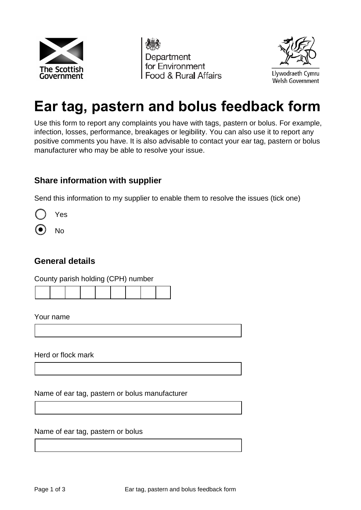





# **Ear tag, pastern and bolus feedback form**

 Use this form to report any complaints you have with tags, pastern or bolus. For example, infection, losses, performance, breakages or legibility. You can also use it to report any positive comments you have. It is also advisable to contact your ear tag, pastern or bolus manufacturer who may be able to resolve your issue.

### **Share information with supplier**

Send this information to my supplier to enable them to resolve the issues (tick one)

Yes

No

### **General details**

County parish holding (CPH) number

Your name

Herd or flock mark

Name of ear tag, pastern or bolus manufacturer

Name of ear tag, pastern or bolus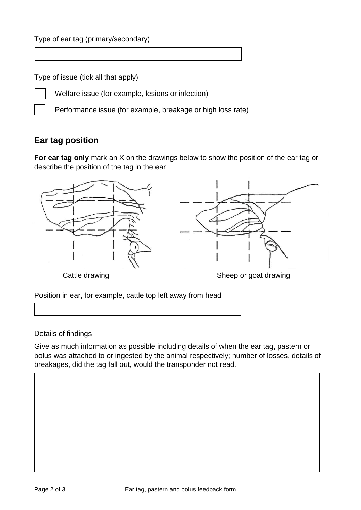Type of issue (tick all that apply)



Welfare issue (for example, lesions or infection)

Performance issue (for example, breakage or high loss rate)

## **Ear tag position**

 **For ear tag only** mark an X on the drawings below to show the position of the ear tag or describe the position of the tag in the ear



Cattle drawing

Sheep or goat drawing

Position in ear, for example, cattle top left away from head

Details of findings

 bolus was attached to or ingested by the animal respectively; number of losses, details of breakages, did the tag fall out, would the transponder not read. Give as much information as possible including details of when the ear tag, pastern or